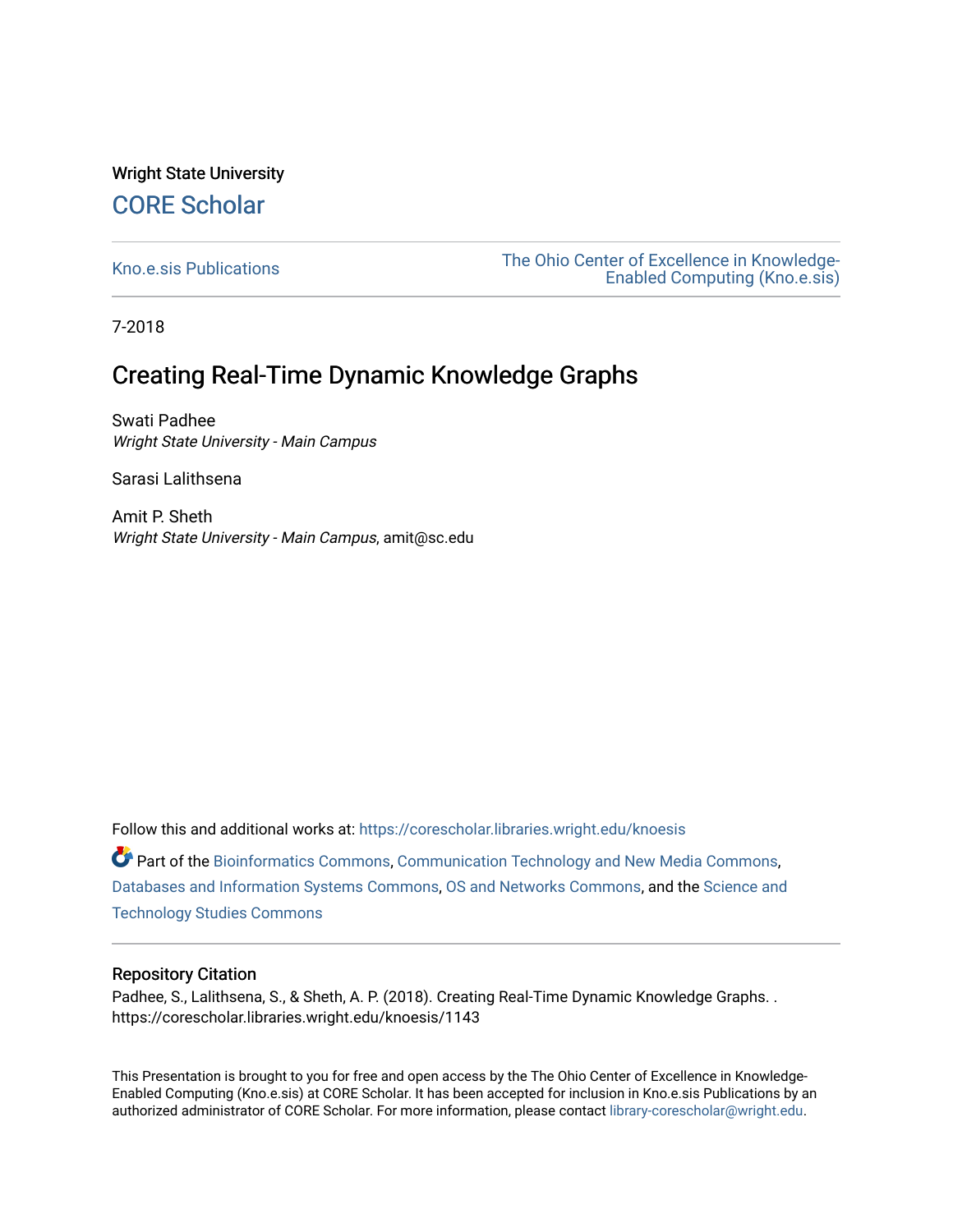#### Wright State University [CORE Scholar](https://corescholar.libraries.wright.edu/)

[Kno.e.sis Publications](https://corescholar.libraries.wright.edu/knoesis) [The Ohio Center of Excellence in Knowledge-](https://corescholar.libraries.wright.edu/knoesis_comm)[Enabled Computing \(Kno.e.sis\)](https://corescholar.libraries.wright.edu/knoesis_comm) 

7-2018

#### Creating Real-Time Dynamic Knowledge Graphs

Swati Padhee Wright State University - Main Campus

Sarasi Lalithsena

Amit P. Sheth Wright State University - Main Campus, amit@sc.edu

Follow this and additional works at: [https://corescholar.libraries.wright.edu/knoesis](https://corescholar.libraries.wright.edu/knoesis?utm_source=corescholar.libraries.wright.edu%2Fknoesis%2F1143&utm_medium=PDF&utm_campaign=PDFCoverPages) 

Part of the [Bioinformatics Commons,](http://network.bepress.com/hgg/discipline/110?utm_source=corescholar.libraries.wright.edu%2Fknoesis%2F1143&utm_medium=PDF&utm_campaign=PDFCoverPages) [Communication Technology and New Media Commons,](http://network.bepress.com/hgg/discipline/327?utm_source=corescholar.libraries.wright.edu%2Fknoesis%2F1143&utm_medium=PDF&utm_campaign=PDFCoverPages) [Databases and Information Systems Commons](http://network.bepress.com/hgg/discipline/145?utm_source=corescholar.libraries.wright.edu%2Fknoesis%2F1143&utm_medium=PDF&utm_campaign=PDFCoverPages), [OS and Networks Commons](http://network.bepress.com/hgg/discipline/149?utm_source=corescholar.libraries.wright.edu%2Fknoesis%2F1143&utm_medium=PDF&utm_campaign=PDFCoverPages), and the [Science and](http://network.bepress.com/hgg/discipline/435?utm_source=corescholar.libraries.wright.edu%2Fknoesis%2F1143&utm_medium=PDF&utm_campaign=PDFCoverPages) [Technology Studies Commons](http://network.bepress.com/hgg/discipline/435?utm_source=corescholar.libraries.wright.edu%2Fknoesis%2F1143&utm_medium=PDF&utm_campaign=PDFCoverPages) 

#### Repository Citation

Padhee, S., Lalithsena, S., & Sheth, A. P. (2018). Creating Real-Time Dynamic Knowledge Graphs. . https://corescholar.libraries.wright.edu/knoesis/1143

This Presentation is brought to you for free and open access by the The Ohio Center of Excellence in Knowledge-Enabled Computing (Kno.e.sis) at CORE Scholar. It has been accepted for inclusion in Kno.e.sis Publications by an authorized administrator of CORE Scholar. For more information, please contact [library-corescholar@wright.edu](mailto:library-corescholar@wright.edu).